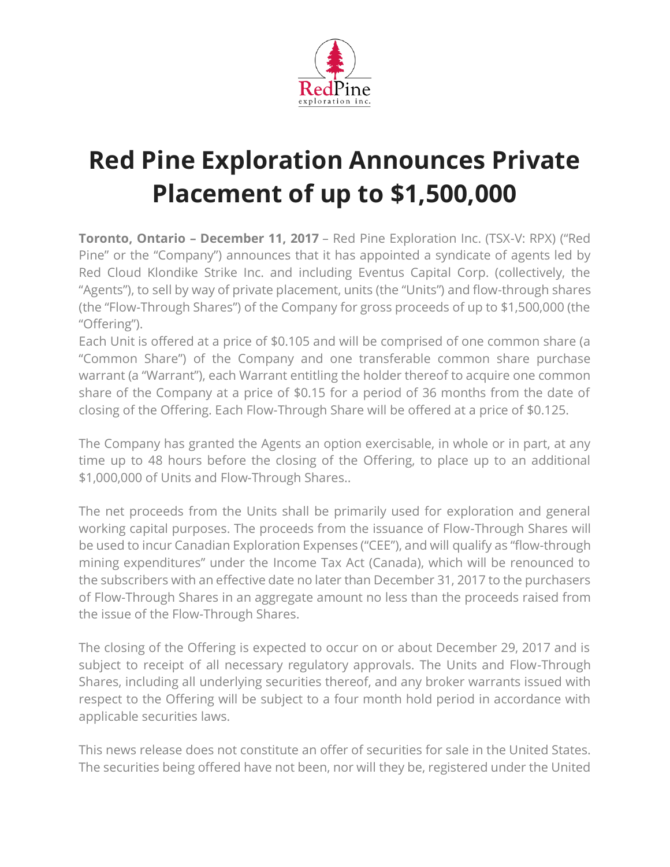

## **Red Pine Exploration Announces Private Placement of up to \$1,500,000**

**Toronto, Ontario – December 11, 2017** – Red Pine Exploration Inc. (TSX-V: RPX) ("Red Pine" or the "Company") announces that it has appointed a syndicate of agents led by Red Cloud Klondike Strike Inc. and including Eventus Capital Corp. (collectively, the "Agents"), to sell by way of private placement, units (the "Units") and flow-through shares (the "Flow-Through Shares") of the Company for gross proceeds of up to \$1,500,000 (the "Offering").

Each Unit is offered at a price of \$0.105 and will be comprised of one common share (a "Common Share") of the Company and one transferable common share purchase warrant (a "Warrant"), each Warrant entitling the holder thereof to acquire one common share of the Company at a price of \$0.15 for a period of 36 months from the date of closing of the Offering. Each Flow-Through Share will be offered at a price of \$0.125.

The Company has granted the Agents an option exercisable, in whole or in part, at any time up to 48 hours before the closing of the Offering, to place up to an additional \$1,000,000 of Units and Flow-Through Shares..

The net proceeds from the Units shall be primarily used for exploration and general working capital purposes. The proceeds from the issuance of Flow-Through Shares will be used to incur Canadian Exploration Expenses ("CEE"), and will qualify as "flow-through mining expenditures" under the Income Tax Act (Canada), which will be renounced to the subscribers with an effective date no later than December 31, 2017 to the purchasers of Flow-Through Shares in an aggregate amount no less than the proceeds raised from the issue of the Flow-Through Shares.

The closing of the Offering is expected to occur on or about December 29, 2017 and is subject to receipt of all necessary regulatory approvals. The Units and Flow-Through Shares, including all underlying securities thereof, and any broker warrants issued with respect to the Offering will be subject to a four month hold period in accordance with applicable securities laws.

This news release does not constitute an offer of securities for sale in the United States. The securities being offered have not been, nor will they be, registered under the United